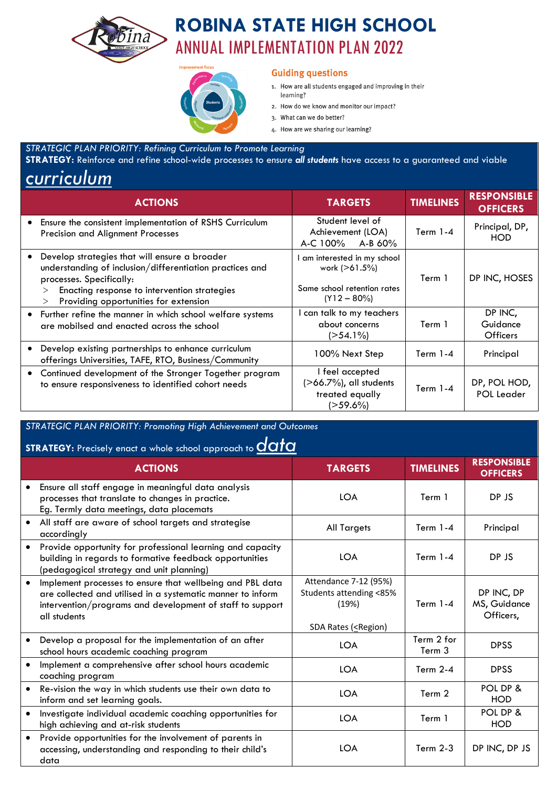

# **ROBINA STATE HIGH SCHOOL** ANNUAL IMPLEMENTATION PLAN 2022



### **Guiding questions**

- 1. How are all students engaged and improving in their learning?
- 2. How do we know and monitor our impact?
- 3. What can we do better?
- 4. How are we sharing our learning?

#### *STRATEGIC PLAN PRIORITY: Refining Curriculum to Promote Learning*

**STRATEGY:** Reinforce and refine school-wide processes to ensure *all students* have access to a guaranteed and viable

# *curriculum*

| <b>ACTIONS</b>                                                                                                                                                                                                                           | <b>TARGETS</b>                                                                               | <b>TIMELINES</b> | <b>RESPONSIBLE</b><br><b>OFFICERS</b>  |
|------------------------------------------------------------------------------------------------------------------------------------------------------------------------------------------------------------------------------------------|----------------------------------------------------------------------------------------------|------------------|----------------------------------------|
| Ensure the consistent implementation of RSHS Curriculum<br>Precision and Alignment Processes                                                                                                                                             | Student level of<br>Achievement (LOA)<br>$A-C 100\%$ $A-B 60\%$                              | Term $1-4$       | Principal, DP,<br><b>HOD</b>           |
| Develop strategies that will ensure a broader<br>understanding of inclusion/differentiation practices and<br>processes. Specifically:<br>Enacting response to intervention strategies<br>><br>Providing opportunities for extension<br>> | am interested in my school<br>work (>61.5%)<br>Same school retention rates<br>$(Y12 - 80\%)$ | Term 1           | DP INC, HOSES                          |
| • Further refine the manner in which school welfare systems<br>are mobilsed and enacted across the school                                                                                                                                | can talk to my teachers<br>about concerns<br>$($ >54.1%)                                     | Term 1           | DP INC,<br>Guidance<br><b>Officers</b> |
| Develop existing partnerships to enhance curriculum<br>offerings Universities, TAFE, RTO, Business/Community                                                                                                                             | 100% Next Step                                                                               | Term $1-4$       | Principal                              |
| Continued development of the Stronger Together program<br>to ensure responsiveness to identified cohort needs                                                                                                                            | I feel accepted<br>$($ >66.7%), all students<br>treated equally<br>(>59.6%)                  | Term $1-4$       | DP, POL HOD,<br><b>POL Leader</b>      |

## *STRATEGIC PLAN PRIORITY: Promoting High Achievement and Outcomes*

# **STRATEGY:** Precisely enact a whole school approach to *data*

| $\frac{1}{2}$ in the case of the contract the serious deproductive $\alpha$ or $\alpha$ |                                                                                                                                                                                                       |                                                                                                                                                                                      |                      |                                         |  |
|-----------------------------------------------------------------------------------------|-------------------------------------------------------------------------------------------------------------------------------------------------------------------------------------------------------|--------------------------------------------------------------------------------------------------------------------------------------------------------------------------------------|----------------------|-----------------------------------------|--|
|                                                                                         | <b>ACTIONS</b>                                                                                                                                                                                        | <b>TARGETS</b>                                                                                                                                                                       | <b>TIMELINES</b>     | <b>RESPONSIBLE</b><br><b>OFFICERS</b>   |  |
|                                                                                         | Ensure all staff engage in meaningful data analysis<br>processes that translate to changes in practice.<br>Eg. Termly data meetings, data placemats                                                   | <b>LOA</b>                                                                                                                                                                           | Term 1               | DP JS                                   |  |
| $\bullet$                                                                               | All staff are aware of school targets and strategise<br>accordingly                                                                                                                                   | <b>All Targets</b>                                                                                                                                                                   | Term $1-4$           | Principal                               |  |
| $\bullet$                                                                               | Provide opportunity for professional learning and capacity<br>building in regards to formative feedback opportunities<br>(pedagogical strategy and unit planning)                                     | <b>LOA</b>                                                                                                                                                                           | Term $1-4$           | DP JS                                   |  |
| $\bullet$                                                                               | Implement processes to ensure that wellbeing and PBL data<br>are collected and utilised in a systematic manner to inform<br>intervention/programs and development of staff to support<br>all students | Attendance 7-12 (95%)<br>Students attending <85%<br>(19%)<br>SDA Rates ( <region)< td=""><td>Term <math>1-4</math></td><td>DP INC, DP<br/>MS, Guidance<br/>Officers,</td></region)<> | Term $1-4$           | DP INC, DP<br>MS, Guidance<br>Officers, |  |
|                                                                                         | Develop a proposal for the implementation of an after<br>school hours academic coaching program                                                                                                       | <b>LOA</b>                                                                                                                                                                           | Term 2 for<br>Term 3 | <b>DPSS</b>                             |  |
|                                                                                         | Implement a comprehensive after school hours academic<br>coaching program                                                                                                                             | <b>LOA</b>                                                                                                                                                                           | Term $2-4$           | <b>DPSS</b>                             |  |
| $\bullet$                                                                               | Re-vision the way in which students use their own data to<br>inform and set learning goals.                                                                                                           | <b>LOA</b>                                                                                                                                                                           | Term 2               | POL DP &<br><b>HOD</b>                  |  |
| $\bullet$                                                                               | Investigate individual academic coaching opportunities for<br>high achieving and at-risk students                                                                                                     | <b>LOA</b>                                                                                                                                                                           | Term 1               | POL DP &<br><b>HOD</b>                  |  |
| $\bullet$                                                                               | Provide opportunities for the involvement of parents in<br>accessing, understanding and responding to their child's<br>data                                                                           | <b>LOA</b>                                                                                                                                                                           | Term $2-3$           | DP INC, DP JS                           |  |